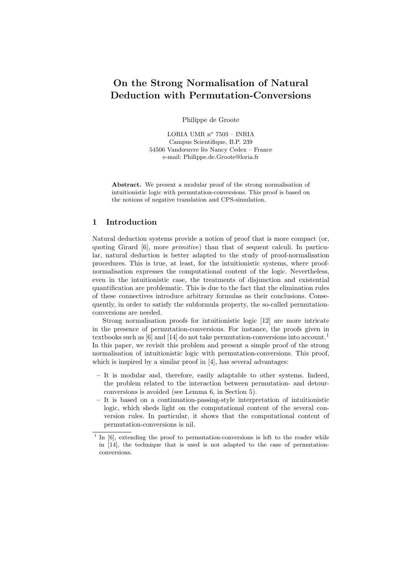# On the Strong Normalisation of Natural Deduction with Permutation-Conversions

Philippe de Groote

LORIA UMR $n^o$ 7503 – INRIA Campus Scientifique, B.P. 239 54506 Vandœuvre lès Nancy Cedex – France e-mail: Philippe.de.Groote@loria.fr

Abstract. We present a modular proof of the strong normalisation of intuitionistic logic with permutation-conversions. This proof is based on the notions of negative translation and CPS-simulation.

## 1 Introduction

Natural deduction systems provide a notion of proof that is more compact (or, quoting Girard [6], more primitive) than that of sequent calculi. In particular, natural deduction is better adapted to the study of proof-normalisation procedures. This is true, at least, for the intuitionistic systems, where proofnormalisation expresses the computational content of the logic. Nevertheless, even in the intuitionistic case, the treatments of disjunction and existential quantification are problematic. This is due to the fact that the elimination rules of these connectives introduce arbitrary formulas as their conclusions. Consequently, in order to satisfy the subformula property, the so-called permutationconversions are needed.

Strong normalisation proofs for intuitionistic logic [12] are more intricate in the presence of permutation-conversions. For instance, the proofs given in textbooks such as [6] and [14] do not take permutation-conversions into account.<sup>1</sup> In this paper, we revisit this problem and present a simple proof of the strong normalisation of intuitionistic logic with permutation-conversions. This proof, which is inspired by a similar proof in [4], has several advantages:

- It is modular and, therefore, easily adaptable to other systems. Indeed, the problem related to the interaction between permutation- and detourconversions is avoided (see Lemma 6, in Section 5).
- It is based on a continuation-passing-style interpretation of intuitionistic logic, which sheds light on the computational content of the several conversion rules. In particular, it shows that the computational content of permutation-conversions is nil.

<sup>&</sup>lt;sup>1</sup> In [6], extending the proof to permutation-conversions is left to the reader while in [14], the technique that is used is not adapted to the case of permutationconversions.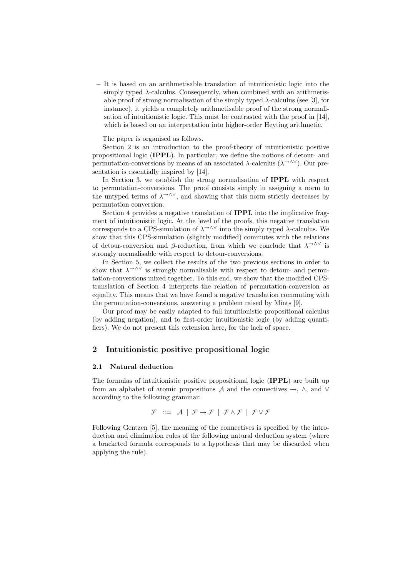– It is based on an arithmetisable translation of intuitionistic logic into the simply typed  $\lambda$ -calculus. Consequently, when combined with an arithmetisable proof of strong normalisation of the simply typed  $\lambda$ -calculus (see [3], for instance), it yields a completely arithmetisable proof of the strong normalisation of intuitionistic logic. This must be contrasted with the proof in [14], which is based on an interpretation into higher-order Heyting arithmetic.

The paper is organised as follows.

Section 2 is an introduction to the proof-theory of intuitionistic positive propositional logic (IPPL). In particular, we define the notions of detour- and permutation-conversions by means of an associated  $\lambda$ -calculus ( $\lambda \rightarrow \lambda \vee$ ). Our presentation is essentially inspired by [14].

In Section 3, we establish the strong normalisation of IPPL with respect to permutation-conversions. The proof consists simply in assigning a norm to the untyped terms of  $\lambda \rightarrow 0$ <sup>, and</sup> showing that this norm strictly decreases by permutation conversion.

Section 4 provides a negative translation of IPPL into the implicative fragment of intuitionistic logic. At the level of the proofs, this negative translation corresponds to a CPS-simulation of  $\lambda^{\rightarrow} \lambda$  into the simply typed  $\lambda$ -calculus. We show that this CPS-simulation (slightly modified) commutes with the relations of detour-conversion and β-reduction, from which we conclude that  $\lambda^{\rightarrow \wedge \vee}$  is strongly normalisable with respect to detour-conversions.

In Section 5, we collect the results of the two previous sections in order to show that  $\lambda \rightarrow 0$  is strongly normalisable with respect to detour- and permutation-conversions mixed together. To this end, we show that the modified CPStranslation of Section 4 interprets the relation of permutation-conversion as equality. This means that we have found a negative translation commuting with the permutation-conversions, answering a problem raised by Mints [9].

Our proof may be easily adapted to full intuitionistic propositional calculus (by adding negation), and to first-order intuitionistic logic (by adding quantifiers). We do not present this extension here, for the lack of space.

## 2 Intuitionistic positive propositional logic

#### 2.1 Natural deduction

The formulas of intuitionistic positive propositional logic (**IPPL**) are built up from an alphabet of atomic propositions A and the connectives  $\rightarrow$ ,  $\land$ , and  $\lor$ according to the following grammar:

$$
\mathcal{F} \ ::= \ \mathcal{A} \ | \ \mathcal{F} \rightarrow \mathcal{F} \ | \ \mathcal{F} \wedge \mathcal{F} \ | \ \mathcal{F} \vee \mathcal{F}
$$

Following Gentzen [5], the meaning of the connectives is specified by the introduction and elimination rules of the following natural deduction system (where a bracketed formula corresponds to a hypothesis that may be discarded when applying the rule).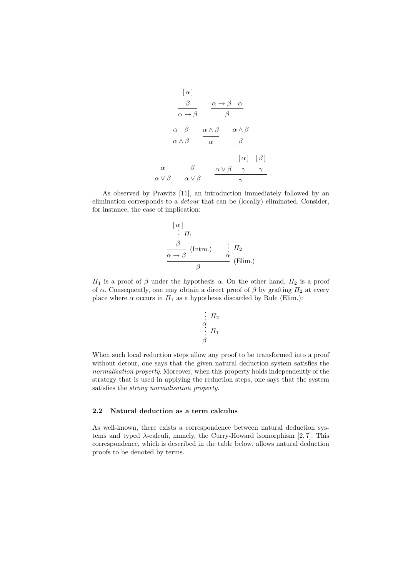$$
\begin{array}{ccc}\n[\alpha] & & & \\
\frac{\beta}{\alpha \to \beta} & \frac{\alpha \to \beta}{\beta} & \frac{\alpha}{\beta} \\
\frac{\alpha}{\alpha \land \beta} & \frac{\alpha \land \beta}{\alpha} & \frac{\alpha \land \beta}{\beta} \\
\frac{\alpha}{\alpha \lor \beta} & \frac{\beta}{\alpha \lor \beta} & \frac{\alpha \lor \beta}{\gamma} & \frac{\gamma}{\gamma}\n\end{array}
$$

As observed by Prawitz [11], an introduction immediately followed by an elimination corresponds to a detour that can be (locally) eliminated. Consider, for instance, the case of implication:

$$
\begin{array}{c}\n[\alpha] \\
\vdots \\
\beta \\
\hline\n\alpha \to \beta\n\end{array}
$$
\n(Intro.)\n
$$
\begin{array}{c}\n\vdots I_2 \\
\alpha \to \beta\n\end{array}
$$
\n(Elim.)

 $\Pi_1$  is a proof of  $\beta$  under the hypothesis  $\alpha$ . On the other hand,  $\Pi_2$  is a proof of  $\alpha$ . Consequently, one may obtain a direct proof of  $\beta$  by grafting  $\Pi_2$  at every place where  $\alpha$  occurs in  $\Pi_1$  as a hypothesis discarded by Rule (Elim.):

$$
\begin{array}{c}\n\vdots \\
\alpha \\
\vdots \\
\beta\n\end{array} \quad \Pi_1
$$

When such local reduction steps allow any proof to be transformed into a proof without detour, one says that the given natural deduction system satisfies the normalisation property. Moreover, when this property holds independently of the strategy that is used in applying the reduction steps, one says that the system satisfies the strong normalisation property.

#### 2.2 Natural deduction as a term calculus

As well-known, there exists a correspondence between natural deduction systems and typed  $\lambda$ -calculi, namely, the Curry-Howard isomorphism [2, 7]. This correspondence, which is described in the table below, allows natural deduction proofs to be denoted by terms.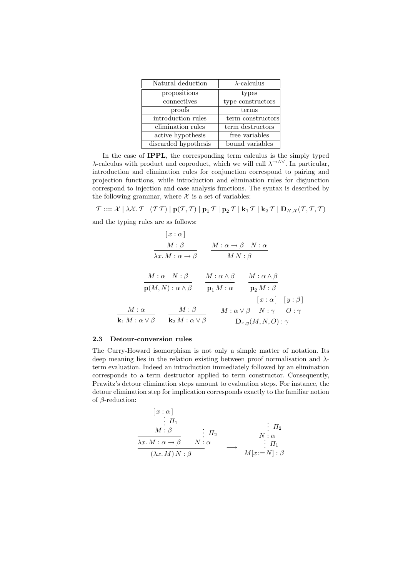| Natural deduction    | $\lambda$ -calculus |
|----------------------|---------------------|
| propositions         | types               |
| connectives          | type constructors   |
| proofs               | terms               |
| introduction rules   | term constructors   |
| elimination rules    | term destructors    |
| active hypothesis    | free variables      |
| discarded hypothesis | bound variables     |

In the case of IPPL, the corresponding term calculus is the simply typed λ-calculus with product and coproduct, which we will call  $λ^{\rightarrow \wedge \vee}$ . In particular, introduction and elimination rules for conjunction correspond to pairing and projection functions, while introduction and elimination rules for disjunction correspond to injection and case analysis functions. The syntax is described by the following grammar, where  $X$  is a set of variables:

 $\mathcal{T} ::= \mathcal{X} \; | \; \lambda \mathcal{X}. \mathcal{T} \; | \; (\mathcal{T} \, \mathcal{T}) \; | \; \mathbf{p}(\mathcal{T}, \mathcal{T}) \; | \; \mathbf{p}_1 \, \mathcal{T} \; | \; \mathbf{p}_2 \, \mathcal{T} \; | \; \mathbf{k}_1 \, \mathcal{T} \; | \; \mathbf{k}_2 \, \mathcal{T} \; | \; \mathbf{D}_{\mathcal{X}, \mathcal{X}}(\mathcal{T}, \mathcal{T}, \mathcal{T})$ and the typing rules are as follows:

$$
\begin{array}{cccc}\n & [x:\alpha] \\
 & M:\beta & M:\alpha \to \beta & N:\alpha \\
\hline\n & \lambda x.M:\alpha \to \beta & MN:\beta\n\end{array}
$$
\n
$$
\begin{array}{cccc}\nM:\alpha & N:\beta & M:\alpha \land \beta \\
\hline\n & \mathbf{p}(M,N):\alpha \land \beta & \mathbf{p}_1 M:\alpha & \mathbf{p}_2 M:\beta\n\end{array}
$$
\n
$$
\begin{array}{cccc}\nM:\alpha & M:\beta & M:\alpha \lor \beta \\
\hline\n & \mathbf{k}_1 M:\alpha \lor \beta & \mathbf{k}_2 M:\alpha \lor \beta & \mathbf{p}_3 M:\gamma & O:\gamma\n\end{array}
$$

#### 2.3 Detour-conversion rules

The Curry-Howard isomorphism is not only a simple matter of notation. Its deep meaning lies in the relation existing between proof normalisation and  $\lambda$ term evaluation. Indeed an introduction immediately followed by an elimination corresponds to a term destructor applied to term constructor. Consequently, Prawitz's detour elimination steps amount to evaluation steps. For instance, the detour elimination step for implication corresponds exactly to the familiar notion of  $\beta$ -reduction:

$$
\begin{array}{ccc}\n[x:\alpha] & & \vdots & \Pi_1 \\
\vdots & \Pi_1 & & \vdots & \Pi_2 \\
\hline\n\lambda x. M : \alpha \to \beta & N : \alpha & & \vdots & \Pi_1 \\
(\lambda x. M) N : \beta & & \downarrow & M[x := N] : \beta\n\end{array}
$$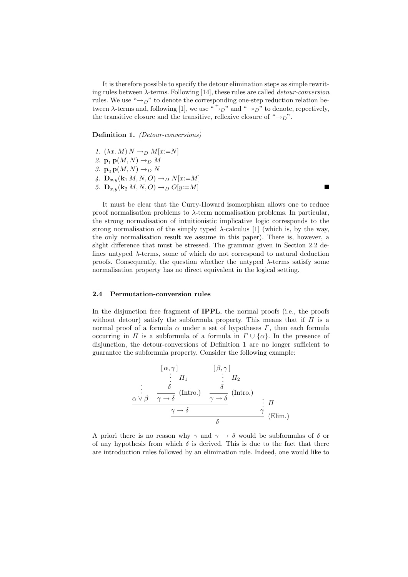It is therefore possible to specify the detour elimination steps as simple rewriting rules between  $\lambda$ -terms. Following [14], these rules are called *detour-conversion* rules. We use " $\rightarrow_D$ " to denote the corresponding one-step reduction relation between  $\lambda$ -terms and, following [1], we use " $\rightarrow_D$ " and " $\rightarrow_D$ " to denote, repectively, the transitive closure and the transitive, reflexive closure of " $\rightarrow_D$ ".

Definition 1. (Detour-conversions)

1.  $(\lambda x. M) N \rightarrow_D M[x:=N]$ 2.  $\mathbf{p}_1 \mathbf{p}(M, N) \rightarrow_D M$ 3.  $\mathbf{p}_2 \mathbf{p}(M, N) \rightarrow_D N$ 4.  $\mathbf{D}_{x,y}(\mathbf{k}_1 M, N, O) \to_D N[x := M]$ 5.  ${\bf D}_{x,y}({\bf k}_2 M, N, O) \rightarrow_D O[y:=M]$ 

It must be clear that the Curry-Howard isomorphism allows one to reduce proof normalisation problems to  $\lambda$ -term normalisation problems. In particular, the strong normalisation of intuitionistic implicative logic corresponds to the strong normalisation of the simply typed  $\lambda$ -calculus [1] (which is, by the way, the only normalisation result we assume in this paper). There is, however, a slight difference that must be stressed. The grammar given in Section 2.2 defines untyped  $\lambda$ -terms, some of which do not correspond to natural deduction proofs. Consequently, the question whether the untyped  $\lambda$ -terms satisfy some normalisation property has no direct equivalent in the logical setting.

#### 2.4 Permutation-conversion rules

In the disjunction free fragment of IPPL, the normal proofs (i.e., the proofs without detour) satisfy the subformula property. This means that if  $\Pi$  is a normal proof of a formula  $\alpha$  under a set of hypotheses  $\Gamma$ , then each formula occurring in  $\Pi$  is a subformula of a formula in  $\Gamma \cup {\alpha}$ . In the presence of disjunction, the detour-conversions of Definition 1 are no longer sufficient to guarantee the subformula property. Consider the following example:

$$
\begin{array}{ccc}\n[\alpha,\gamma] & [\beta,\gamma] \\
\vdots & \Pi_1 & \vdots & \Pi_2 \\
\hline\n\delta & (\text{Intro.}) & \delta & (\text{Intro.}) \\
\alpha \vee \beta & \gamma \to \delta & \gamma \to \delta\n\end{array}
$$
\n
$$
\begin{array}{ccc}\n\alpha \vee \beta & \gamma \to \delta & (\text{Intro.}) \\
\hline\n\gamma & \delta & \gamma \to \delta\n\end{array}
$$
\n
$$
\begin{array}{ccc}\n\alpha & \gamma \to \delta & \gamma \end{array}
$$
\n(Elim.)

A priori there is no reason why  $\gamma$  and  $\gamma \to \delta$  would be subformulas of  $\delta$  or of any hypothesis from which  $\delta$  is derived. This is due to the fact that there are introduction rules followed by an elimination rule. Indeed, one would like to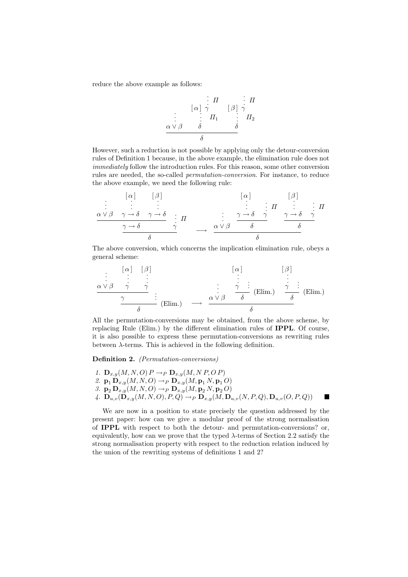reduce the above example as follows:

$$
\begin{array}{c}\n & \vdots & \Pi \\
\vdots & \vdots & \vdots \\
\alpha \vee \beta & \delta & \delta\n\end{array} \qquad\n\begin{array}{c}\n\vdots & \Pi \\
\beta & \gamma & \Pi_2 \\
\delta\n\end{array}
$$

However, such a reduction is not possible by applying only the detour-conversion rules of Definition 1 because, in the above example, the elimination rule does not immediately follow the introduction rules. For this reason, some other conversion rules are needed, the so-called permutation-conversion. For instance, to reduce the above example, we need the following rule:

· · · α ∨ β [ α ] · · · γ → δ [ β ] · · · γ → δ γ → δ · · · Π γ δ −→ · · · α ∨ β [ α ] · · · γ → δ · · · Π γ δ [ β ] · · · γ → δ · · · Π γ δ δ

The above conversion, which concerns the implication elimination rule, obeys a general scheme:

$$
\begin{array}{c}\n\vdots & \left[\alpha\right] & \left[\beta\right] & \left[\alpha\right] & \left[\beta\right] \\
\hline\n\frac{\alpha \vee \beta & \gamma & \gamma}{\gamma} & \vdots & \vdots & \vdots \\
\hline\n\frac{\gamma}{\delta} & \left(\text{Elim.}\right) & \longrightarrow & \frac{\alpha \vee \beta}{\delta} & \delta\n\end{array}
$$
\n
$$
\begin{array}{c}\n\left[\alpha\right] & \left[\beta\right] & \left[\beta\right] & \vdots & \vdots \\
\hline\n\vdots & \vdots & \vdots & \vdots \\
\hline\n\delta & \delta & \left(\text{Elim.}\right) & \delta\n\end{array}
$$
\n(Elim.)

All the permutation-conversions may be obtained, from the above scheme, by replacing Rule (Elim.) by the different elimination rules of IPPL. Of course, it is also possible to express these permutation-conversions as rewriting rules between  $\lambda$ -terms. This is achieved in the following definition.

Definition 2. (Permutation-conversions)

- 1.  $\mathbf{D}_{x,y}(M,N,O) P \rightarrow_P \mathbf{D}_{x,y}(M,N,P,O P)$
- 2.  $\mathbf{p}_1 \mathbf{D}_{x,y}(M, N, O) \to_P \mathbf{D}_{x,y}(M, \mathbf{p}_1 N, \mathbf{p}_1 O)$
- 3.  $\mathbf{p}_2 \mathbf{D}_{x,y}(M, N, O) \rightarrow_P \mathbf{D}_{x,y}(M, \mathbf{p}_2 N, \mathbf{p}_2 O)$
- 4.  $\mathbf{D}_{u,v}(\mathbf{D}_{x,y}(M,N,O),P,Q) \to_P \mathbf{D}_{x,y}(M,\mathbf{D}_{u,v}(N,P,Q),\mathbf{D}_{u,v}(O,P,Q))$

We are now in a position to state precisely the question addressed by the present paper: how can we give a modular proof of the strong normalisation of IPPL with respect to both the detour- and permutation-conversions? or, equivalently, how can we prove that the typed  $\lambda$ -terms of Section 2.2 satisfy the strong normalisation property with respect to the reduction relation induced by the union of the rewriting systems of definitions 1 and 2?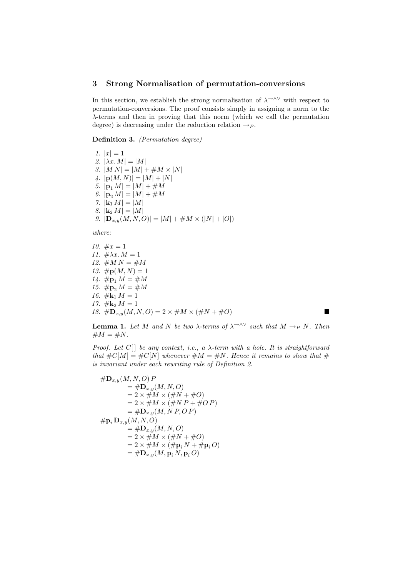## 3 Strong Normalisation of permutation-conversions

In this section, we establish the strong normalisation of  $\lambda^{\rightarrow\wedge\vee}$  with respect to permutation-conversions. The proof consists simply in assigning a norm to the  $\lambda$ -terms and then in proving that this norm (which we call the permutation degree) is decreasing under the reduction relation  $\rightarrow P$ .

Definition 3. (Permutation degree)

1.  $|x| = 1$ 2.  $|\lambda x.M| = |M|$ 3.  $|M N| = |M| + \#M \times |N|$ 4.  $|\mathbf{p}(M, N)| = |M| + |N|$ 5.  $|\mathbf{p}_1 M| = |M| + \#M$ 6.  $|\mathbf{p}_2 M| = |M| + \#M$ 7.  $|\mathbf{k}_1 M| = |M|$ 8.  $|\mathbf{k}_2 M| = |M|$ 9.  $|\mathbf{D}_{x,y}(M,N,O)| = |M| + \#M \times (|N| + |O|)$ 

where:

10.  $\#x = 1$ 11.  $\#\lambda x. M = 1$ 12.  $\#M N = \#M$ 13.  $\# \mathbf{p}(M, N) = 1$ 14.  $\# \mathbf{p}_1 M = \# M$ 15.  $\# \mathbf{p}_2 M = \# M$ 16.  $\#\mathbf{k}_1 M = 1$ 17.  $\#$ **k**<sub>2</sub>  $M = 1$ 18.  $\#\mathbf{D}_{x,y}(M,N,O) = 2 \times \#M \times (\#N + \#O)$ 

**Lemma 1.** Let M and N be two  $\lambda$ -terms of  $\lambda \rightarrow \lambda \vee$  such that  $M \rightarrow_P N$ . Then  $\#M = \#N$ .

Proof. Let  $C[\ ]$  be any context, i.e., a  $\lambda$ -term with a hole. It is straightforward that  $\#C[M] = \#C[N]$  whenever  $\#M = \#N$ . Hence it remains to show that  $\#$ is invariant under each rewriting rule of Definition 2.

$$
\#D_{x,y}(M, N, O) P
$$
\n
$$
= \#D_{x,y}(M, N, O)
$$
\n
$$
= 2 \times \#M \times (\#N + \#O)
$$
\n
$$
= 2 \times \#M \times (\#N + \#O) P
$$
\n
$$
= \#D_{x,y}(M, N, P, O, P)
$$
\n
$$
\#p_i D_{x,y}(M, N, O)
$$
\n
$$
= \#D_{x,y}(M, N, O)
$$
\n
$$
= 2 \times \#M \times (\#N + \#O)
$$
\n
$$
= 2 \times \#M \times (\#p_i N + \#p_i O)
$$
\n
$$
= \#D_{x,y}(M, p_i N, p_i O)
$$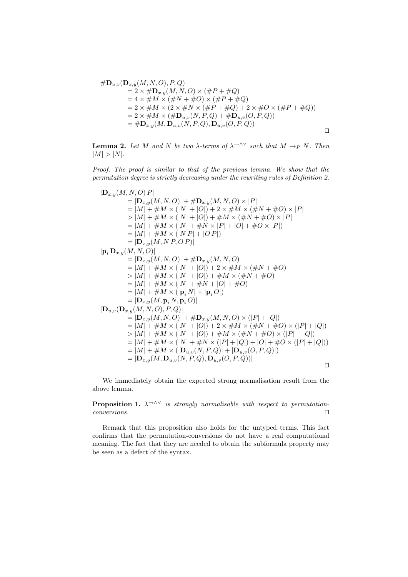$$
\#D_{u,v}(D_{x,y}(M,N,O),P,Q) \n= 2 \times \#D_{x,y}(M,N,O) \times (\#P + \#Q) \n= 4 \times \#M \times (\#N + \#O) \times (\#P + \#Q) \n= 2 \times \#M \times (2 \times \#N \times (\#P + \#Q) + 2 \times \#O \times (\#P + \#Q)) \n= 2 \times \#M \times (\#D_{u,v}(N,P,Q) + \#D_{u,v}(O,P,Q)) \n= \#D_{x,y}(M,D_{u,v}(N,P,Q),D_{u,v}(O,P,Q))
$$

**Lemma 2.** Let M and N be two  $\lambda$ -terms of  $\lambda$ <sup>→∧∨</sup> such that  $M \rightarrow_P N$ . Then  $|M| > |N|$ .

Proof. The proof is similar to that of the previous lemma. We show that the permutation degree is strictly decreasing under the rewriting rules of Definition 2.

$$
|\mathbf{D}_{x,y}(M, N, O) P|
$$
\n
$$
= |\mathbf{D}_{x,y}(M, N, O)| + \# \mathbf{D}_{x,y}(M, N, O) \times |P|
$$
\n
$$
= |M| + \#M \times (|N| + |O|) + 2 \times \#M \times (\#N + \#O) \times |P|
$$
\n
$$
> |M| + \#M \times (|N| + |O|) + \#M \times (\#N + \#O) \times |P|
$$
\n
$$
= |M| + \#M \times (|N| + \#N \times |P| + |O| + \#O \times |P|)
$$
\n
$$
= |M| + \#M \times (|N| + |O|P|)
$$
\n
$$
= |\mathbf{D}_{x,y}(M, N, O)|
$$
\n
$$
= |\mathbf{D}_{x,y}(M, N, O)| + \# \mathbf{D}_{x,y}(M, N, O)
$$
\n
$$
= |M| + \#M \times (|N| + |O|) + 2 \times \#M \times (\#N + \#O)
$$
\n
$$
> |M| + \#M \times (|N| + |O|) + \#M \times (\#N + \#O)
$$
\n
$$
= |M| + \#M \times (|N| + \#N + |O| + \#O)
$$
\n
$$
= |M| + \#M \times (|N| + \#N + |O| + \#O)
$$
\n
$$
= |M| + \#M \times (|P_i| + |P_i| + \#O)
$$
\n
$$
= |D_{x,y}(M, P_i, P_i, Q)|
$$
\n
$$
= |\mathbf{D}_{x,y}(M, N, O)| + \# \mathbf{D}_{x,y}(M, N, O) \times (|P| + |Q|)
$$
\n
$$
= |\mathbf{D}_{x,y}(M, N, O)| + \# \mathbf{D}_{x,y}(M, N, O) \times (|P| + |Q|)
$$
\n
$$
= |M| + \#M \times (|N| + |O|) + 2 \times \#M \times (\#N + \#O) \times (|P| + |Q|)
$$
\n
$$
> |M| + \#M \times (|N| + |O|) + 2 \times \#M \times (\#N + \#O) \times (|P| + |Q|)
$$
\n<

We immediately obtain the expected strong normalisation result from the above lemma.

**Proposition 1.**  $\lambda \rightarrow 0$ <sup>V</sup> is strongly normalisable with respect to permutation $conversions.$ 

Remark that this proposition also holds for the untyped terms. This fact confirms that the permutation-conversions do not have a real computational meaning. The fact that they are needed to obtain the subformula property may be seen as a defect of the syntax.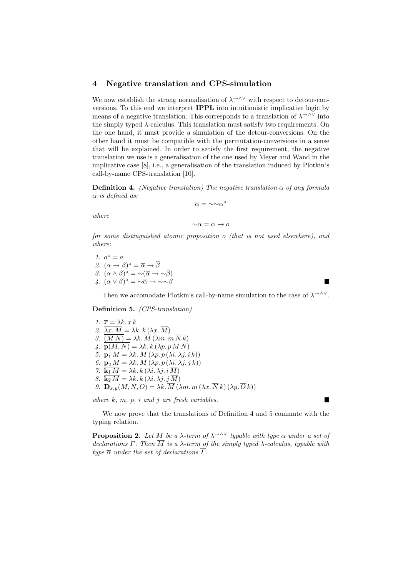## 4 Negative translation and CPS-simulation

We now establish the strong normalisation of  $\lambda^{\rightarrow\wedge\vee}$  with respect to detour-conversions. To this end we interpret IPPL into intuitionistic implicative logic by means of a negative translation. This corresponds to a translation of  $\lambda \rightarrow \lambda \vee$  into the simply typed  $\lambda$ -calculus. This translation must satisfy two requirements. On the one hand, it must provide a simulation of the detour-conversions. On the other hand it must be compatible with the permutation-conversions in a sense that will be explained. In order to satisfy the first requirement, the negative translation we use is a generalisation of the one used by Meyer and Wand in the implicative case [8], i.e., a generalisation of the translation induced by Plotkin's call-by-name CPS-translation [10].

**Definition 4.** (Negative translation) The negative translation  $\overline{\alpha}$  of any formula  $\alpha$  is defined as:

$$
\overline{\alpha}=\mathord{\sim} \mathord{\sim} \alpha^\circ
$$

where

$$
\sim\!\alpha=\alpha\rightarrow o
$$

for some distinguished atomic proposition o (that is not used elsewhere), and where:

1.  $a^{\circ} = a$ 2.  $(\alpha \to \beta)^{\circ} = \overline{\alpha} \to \overline{\beta}$ 3.  $(\alpha \wedge \beta)^{\circ} = \neg(\overline{\alpha} \rightarrow \neg \overline{\beta})$ 4.  $(\alpha \vee \beta)^{\circ} = \sim \overline{\alpha} \rightarrow \sim \sim \overline{\beta}$ 

Then we accomodate Plotkin's call-by-name simulation to the case of  $\lambda^{\rightarrow \wedge \vee}$ .

Definition 5. *(CPS-translation)* 

1.  $\overline{x} = \lambda k \cdot x \cdot k$ 2.  $\overline{\lambda x \cdot M} = \lambda k \cdot k (\lambda x \cdot \overline{M})$ 3.  $\overline{(M N)} = \lambda k \cdot \overline{M} (\lambda m \cdot m \overline{N} k)$ 4.  $\overline{\mathbf{p}(M,N)} = \lambda k \cdot k \left(\lambda p \cdot p \overline{M} \overline{N}\right)$ 5.  $\overline{\mathbf{p}_1 M} = \lambda k \cdot \overline{M} (\lambda p \cdot p (\lambda i \cdot \lambda j \cdot i k))$ 6.  $\overline{\mathbf{p}_2 M} = \lambda k \cdot \overline{M} (\lambda p \cdot p (\lambda i \cdot \lambda j \cdot j k))$ 7.  $\overline{\mathbf{k}_1 M} = \lambda k \cdot k (\lambda i \cdot \lambda j \cdot i \overline{M})$ 8.  $\mathbf{k}_2 M = \lambda k \cdot k (\lambda i \cdot \lambda j \cdot j M)$ 9.  $\mathbf{D}_{x,y}(M, N, O) = \lambda k \cdot M \left(\lambda m \cdot m \left(\lambda x \cdot N k\right) \left(\lambda y \cdot O k\right)\right)$ 

where  $k, m, p, i$  and  $j$  are fresh variables.

We now prove that the translations of Definition 4 and 5 commute with the typing relation.

**Proposition 2.** Let M be a  $\lambda$ -term of  $\lambda \rightarrow \lambda \vee$  typable with type  $\alpha$  under a set of declarations Γ. Then  $\overline{M}$  is a  $\lambda$ -term of the simply typed  $\lambda$ -calculus, typable with type  $\overline{\alpha}$  under the set of declarations  $\overline{\Gamma}$ .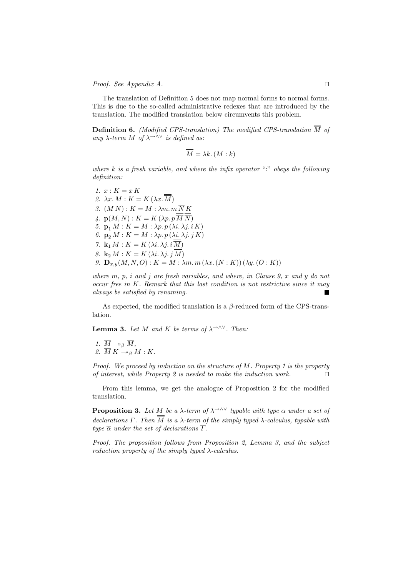*Proof.* See Appendix A.

The translation of Definition 5 does not map normal forms to normal forms. This is due to the so-called administrative redexes that are introduced by the translation. The modified translation below circumvents this problem.

**Definition 6.** (Modified CPS-translation) The modified CPS-translation  $\overline{M}$  of any  $\lambda$ -term M of  $\lambda$ <sup>→∧∨</sup> is defined as:

$$
\overline{\overline{M}} = \lambda k.\left(M:k\right)
$$

where  $k$  is a fresh variable, and where the infix operator ":" obeys the following definition:

1.  $x: K = x K$ 2.  $\lambda x. M : K = K(\lambda x. \overline{\overline{M}})$ 3.  $(M N)$ :  $K = M : \lambda m. m \overline{N} K$ 4.  $\mathbf{p}(M, N) : K = K(\lambda p. p \overline{M} \overline{N})$ 5.  $\mathbf{p}_1 M : K = M : \lambda p. p (\lambda i. \lambda j. i K)$ 6.  $\mathbf{p}_2 M : K = M : \lambda p. p (\lambda i. \lambda j. j K)$ 7.  $\mathbf{k}_1 M : K = K(\lambda i, \lambda i, i \overline{\overline{M}})$ 8.  $\mathbf{k}_2 M : K = K(\lambda i, \lambda j, j \overline{\overline{M}})$ 9.  $\mathbf{D}_{x,y}(M,N,O):K=M:\lambda m.\,m\left(\lambda x.\,(N:K)\right)\left(\lambda y.\,(O:K)\right)$ 

where  $m, p, i$  and j are fresh variables, and where, in Clause  $g, x$  and  $y$  do not occur free in K. Remark that this last condition is not restrictive since it may always be satisfied by renaming. Ξ

As expected, the modified translation is a  $\beta$ -reduced form of the CPS-translation.

**Lemma 3.** Let M and K be terms of  $\lambda \rightarrow \lambda \vee$ . Then:

1.  $\overline{M} \twoheadrightarrow_{\beta} \overline{M}$ , 2.  $M K \rightarrow \beta M : K$ .

Proof. We proceed by induction on the structure of  $M$ . Property 1 is the property of interest, while Property 2 is needed to make the induction work.  $\square$ 

From this lemma, we get the analogue of Proposition 2 for the modified translation.

**Proposition 3.** Let M be a  $\lambda$ -term of  $\lambda$ <sup>→∧∨</sup> typable with type  $\alpha$  under a set of declarations Γ. Then  $\overline{\overline{M}}$  is a  $\lambda$ -term of the simply typed  $\lambda$ -calculus, typable with type  $\overline{\alpha}$  under the set of declarations  $\overline{\Gamma}$ .

Proof. The proposition follows from Proposition 2, Lemma 3, and the subject reduction property of the simply typed  $\lambda$ -calculus.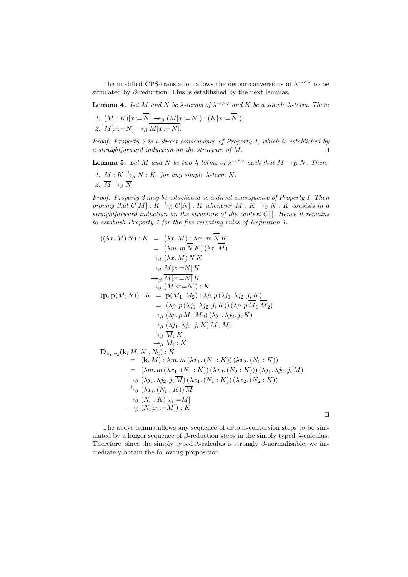The modified CPS-translation allows the detour-conversions of  $\lambda^{\rightarrow\wedge\vee}$  to be simulated by  $\beta$ -reduction. This is established by the next lemmas.

**Lemma 4.** Let M and N be  $\lambda$ -terms of  $\lambda \rightarrow \lambda \vee$  and K be a simple  $\lambda$ -term. Then:

1. 
$$
(M: K)[x := \overline{N}] \rightarrow B (M[x := N]) : (K[x := \overline{N}]),
$$
  
2.  $\overline{M}[x := \overline{N}] \rightarrow B M[x := N].$ 

Proof. Property 2 is a direct consequence of Property 1, which is established by a straightforward induction on the structure of  $M$ .

**Lemma 5.** Let M and N be two  $\lambda$ -terms of  $\lambda$ <sup>→∧∨</sup> such that  $M \rightarrow_D N$ . Then: 1.  $M: K \stackrel{+}{\rightarrow}_{\beta} N: K$ , for any simple  $\lambda$ -term  $K$ , 2.  $\overline{M} \stackrel{+}{\rightarrow}_{\beta} \overline{N}$ .

Proof. Property 2 may be established as a direct consequence of Property 1. Then proving that  $C[M]: K \stackrel{+}{\rightarrow}_{\beta} C[N]: K$  whenever  $M: K \stackrel{+}{\rightarrow}_{\beta} N: K$  consists in a straightforward induction on the structure of the context  $C[$ . Hence it remains to establish Property 1 for the five rewriting rules of Definition 1.

$$
((\lambda x. M) N) : K = (\lambda x. M) : \lambda m. m \overline{N} K
$$
  
\n
$$
= (\lambda m. m \overline{N} K) (\lambda x. \overline{M})
$$
  
\n
$$
\rightarrow_{\beta} (\lambda x. \overline{M}) \overline{N} K
$$
  
\n
$$
\rightarrow_{\beta} \overline{M} [x := \overline{N}] K
$$
  
\n
$$
\rightarrow_{\beta} \overline{M} [x := \overline{N}] K
$$
  
\n
$$
(\mathbf{p}_i \mathbf{p}(M, N)) : K = \mathbf{p}(M_1, M_2) : \lambda p. p(\lambda j_1, \lambda j_2, j_1 K)
$$
  
\n
$$
= (\lambda p. p(\lambda j_1, \lambda j_2, j_i K)) (\lambda p. p \overline{M_1} \overline{M_2})
$$
  
\n
$$
\rightarrow_{\beta} (\lambda p. p \overline{M_1} \overline{M_2}) (\lambda j_1, \lambda j_2, j_i K)
$$
  
\n
$$
\rightarrow_{\beta} (\lambda p. p \overline{M_1} \overline{M_2}) (\lambda j_1, \lambda j_2, j_i K)
$$
  
\n
$$
\rightarrow_{\beta} (\lambda j_1, \lambda j_2, j_i K) \overline{M_1} \overline{M_2}
$$
  
\n
$$
\rightarrow_{\beta} M_i : K
$$
  
\n
$$
\mathbf{D}_{x_1, x_2}(\mathbf{k}_i M, N_1, N_2) : K
$$
  
\n
$$
= (\mathbf{k}_i M) : \lambda m. m (\lambda x_1. (N_1 : K)) (\lambda x_2. (N_2 : K))
$$
  
\n
$$
= (\lambda m. m (\lambda x_1. (N_1 : K)) (\lambda x_2. (N_2 : K)) ) (\lambda j_1, \lambda j_2, j_i \overline{M})
$$
  
\n
$$
\rightarrow_{\beta} (\lambda j_1, \lambda j_2, j_i \overline{M}) (\lambda x_1. (N_1 : K)) (\lambda x_2. (N_2 : K))
$$
  
\n
$$
\rightarrow_{\beta} (\lambda j_1, \lambda j_2, j_i \overline{M})
$$
  
\n
$$
\rightarrow_{\beta} (\lambda j_i : K) [\overline{x_i := \overline
$$

The above lemma allows any sequence of detour-conversion steps to be simulated by a longer sequence of  $\beta$ -reduction steps in the simply typed  $\lambda$ -calculus. Therefore, since the simply typed  $\lambda$ -calculus is strongly  $\beta$ -normalisable, we immediately obtain the following proposition.

 $\Box$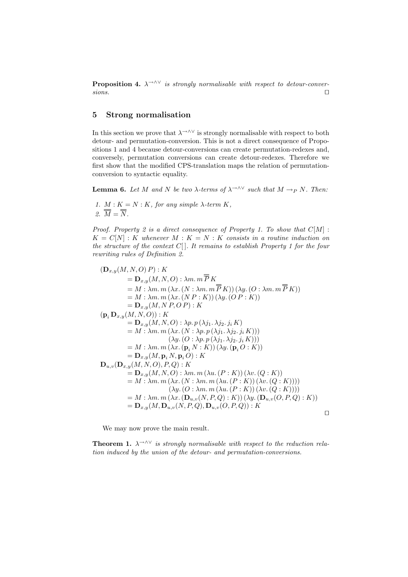**Proposition 4.**  $\lambda \rightarrow \lambda \vee$  is strongly normalisable with respect to detour-conver $sions.$ 

## 5 Strong normalisation

In this section we prove that  $\lambda^{\rightarrow} \lambda^{\vee}$  is strongly normalisable with respect to both detour- and permutation-conversion. This is not a direct consequence of Propositions 1 and 4 because detour-conversions can create permutation-redexes and, conversely, permutation conversions can create detour-redexes. Therefore we first show that the modified CPS-translation maps the relation of permutationconversion to syntactic equality.

**Lemma 6.** Let M and N be two  $\lambda$ -terms of  $\lambda \rightarrow \wedge^{\vee}$  such that  $M \rightarrow_P N$ . Then:

1.  $M: K = N: K$ , for any simple  $\lambda$ -term  $K$ , 2.  $\overline{\overline{M}} = \overline{\overline{N}}$ .

Proof. Property 2 is a direct consequence of Property 1. To show that  $C[M]$ :  $K = C[N] : K$  whenever  $M : K = N : K$  consists in a routine induction on the structure of the context  $C[$ . It remains to establish Property 1 for the four rewriting rules of Definition 2.

$$
(\mathbf{D}_{x,y}(M, N, O) P) : K
$$
  
\n
$$
= \mathbf{D}_{x,y}(M, N, O) : \lambda m. m \overline{P} K
$$
  
\n
$$
= M : \lambda m. m (\lambda x. (N : \lambda m. m \overline{P} K)) (\lambda y. (O : \lambda m. m \overline{P} K))
$$
  
\n
$$
= M : \lambda m. m (\lambda x. (N P : K)) (\lambda y. (O P : K))
$$
  
\n
$$
= \mathbf{D}_{x,y}(M, N P, O P) : K
$$
  
\n
$$
(\mathbf{p}_i \mathbf{D}_{x,y}(M, N, O)) : K
$$
  
\n
$$
= \mathbf{D}_{x,y}(M, N, O) : \lambda p. p(\lambda j_1. \lambda j_2. j_i K)
$$
  
\n
$$
= M : \lambda m. m (\lambda x. (N : \lambda p. p (\lambda j_1. \lambda j_2. j_i K)))
$$
  
\n
$$
(\lambda y. (O : \lambda p. p (\lambda j_1. \lambda j_2. j_i K)))
$$
  
\n
$$
= M : \lambda m. m (\lambda x. (\mathbf{p}_i N : K)) (\lambda y. (\mathbf{p}_i O : K))
$$
  
\n
$$
= \mathbf{D}_{x,y}(M, \mathbf{p}_i N, \mathbf{p}_i O) : K
$$
  
\n
$$
\mathbf{D}_{u,v}(\mathbf{D}_{x,y}(M, N, O), P, Q) : K
$$
  
\n
$$
= \mathbf{D}_{x,y}(M, N, O) : \lambda m. m (\lambda u. (P : K)) (\lambda v. (Q : K)))
$$
  
\n
$$
= M : \lambda m. m (\lambda x. (N : \lambda m. m (\lambda u. (P : K)) (\lambda v. (Q : K))))
$$
  
\n
$$
= M : \lambda m. m (\lambda x. (D_{u,v}(N, P, Q) : K)) (\lambda y. (Q : K))))
$$
  
\n
$$
= M : \lambda m. m (\lambda x. (\mathbf{D}_{u,v}(N, P, Q) : K)) (\lambda y. (\mathbf{D}_{u,v}(O, P, Q) : K))
$$
  
\n
$$
= \mathbf{D}_{x,y}(M, \mathbf{D}_{u,v}(N, P, Q) : \mathbf{D
$$

We may now prove the main result.

**Theorem 1.**  $\lambda \rightarrow \lambda \vee$  is strongly normalisable with respect to the reduction relation induced by the union of the detour- and permutation-conversions.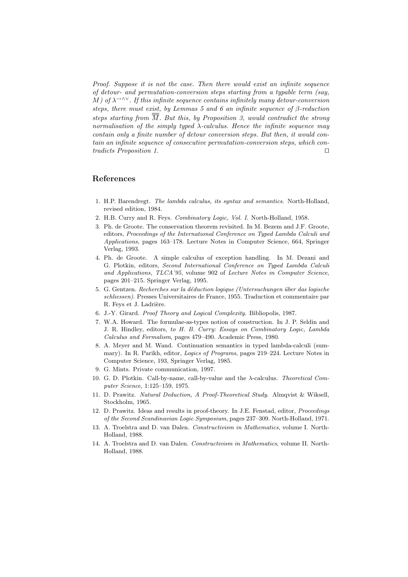Proof. Suppose it is not the case. Then there would exist an infinite sequence of detour- and permutation-conversion steps starting from a typable term (say, M) of  $\lambda \rightarrow \lambda \vee$ . If this infinite sequence contains infinitely many detour-conversion steps, there must exist, by Lemmas 5 and 6 an infinite sequence of  $\beta$ -reduction steps starting from  $\overline{M}$ . But this, by Proposition 3, would contradict the strong normalisation of the simply typed  $\lambda$ -calculus. Hence the infinite sequence may contain only a finite number of detour conversion steps. But then, it would contain an infinite sequence of consecutive permutation-conversion steps, which contradicts Proposition 1.  $\Box$ 

## References

- 1. H.P. Barendregt. The lambda calculus, its syntax and semantics. North-Holland, revised edition, 1984.
- 2. H.B. Curry and R. Feys. Combinatory Logic, Vol. I. North-Holland, 1958.
- 3. Ph. de Groote. The conservation theorem revisited. In M. Bezem and J.F. Groote, editors, Proceedings of the International Conference on Typed Lambda Calculi and Applications, pages 163–178. Lecture Notes in Computer Science, 664, Springer Verlag, 1993.
- 4. Ph. de Groote. A simple calculus of exception handling. In M. Dezani and G. Plotkin, editors, Second International Conference on Typed Lambda Calculi and Applications, TLCA'95, volume 902 of Lecture Notes in Computer Science, pages 201–215. Springer Verlag, 1995.
- 5. G. Gentzen. Recherches sur la déduction logique (Untersuchungen über das logische schliessen). Presses Universitaires de France, 1955. Traduction et commentaire par R. Feys et J. Ladrière.
- 6. J.-Y. Girard. Proof Theory and Logical Complexity. Bibliopolis, 1987.
- 7. W.A. Howard. The formulae-as-types notion of construction. In J. P. Seldin and J. R. Hindley, editors, to H. B. Curry: Essays on Combinatory Logic, Lambda Calculus and Formalism, pages 479–490. Academic Press, 1980.
- 8. A. Meyer and M. Wand. Continuation semantics in typed lambda-calculi (summary). In R. Parikh, editor, Logics of Programs, pages 219–224. Lecture Notes in Computer Science, 193, Springer Verlag, 1985.
- 9. G. Mints. Private communication, 1997.
- 10. G. D. Plotkin. Call-by-name, call-by-value and the λ-calculus. Theoretical Computer Science, 1:125–159, 1975.
- 11. D. Prawitz. Natural Deduction, A Proof-Theoretical Study. Almqvist & Wiksell, Stockholm, 1965.
- 12. D. Prawitz. Ideas and results in proof-theory. In J.E. Fenstad, editor, Proceedings of the Second Scandinavian Logic Symposium, pages 237–309. North-Holland, 1971.
- 13. A. Troelstra and D. van Dalen. Constructivism in Mathematics, volume I. North-Holland, 1988.
- 14. A. Troelstra and D. van Dalen. Constructivism in Mathematics, volume II. North-Holland, 1988.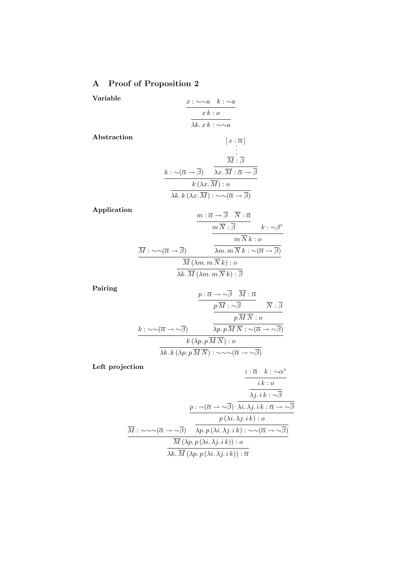## A Proof of Proposition 2

Variable  $x : \sim \sim a \quad k : \sim a$  $x k : o$  $\lambda k \cdot x \, k : \sim \sim a$ Abstraction  $k : \sim(\overline{\alpha} \to \beta)$  $[x:\overline{\alpha}]$ · · ·  $M:\beta$  $\lambda x.\,M:\overline{\alpha}\to\beta$  $k(\lambda x. M)$ : o  $\lambda k. k (\lambda x. \overline{M}) : \sim \sim (\overline{\alpha} \rightarrow \overline{\beta})$ 

Application

$$
\frac{m: \overline{\alpha} \to \overline{\beta} \quad \overline{N}: \overline{\alpha}}{m \overline{N}: \overline{\beta}} \qquad k: \sim \beta^{\circ}
$$
\n
$$
\frac{m \overline{N}: \overline{\beta}}{m \overline{N} \overline{k}: o}
$$
\n
$$
\frac{\overline{M} : \sim \sim (\overline{\alpha} \to \overline{\beta})}{\overline{M} (\lambda m. m \overline{N} \overline{k}): o}
$$
\n
$$
\lambda k. \overline{M} (\lambda m. m \overline{N} \overline{k}): \overline{\beta}
$$

Pairing

$$
\frac{p: \overline{\alpha} \to \sim \overline{\beta} \quad \overline{M}: \overline{\alpha} \quad}{p \overline{M}: \sim \overline{\beta} \quad \overline{N}: \overline{\beta} \quad N: \overline{\beta} \quad}
$$
\n
$$
\frac{p \overline{M} : \sim \overline{\beta} \quad N: \alpha}{p \overline{M} \overline{N}: \alpha}
$$
\n
$$
\frac{k: \sim \sim (\overline{\alpha} \to \sim \overline{\beta}) \quad \overline{\lambda p. p \overline{M} \overline{N}: \sim (\overline{\alpha} \to \sim \overline{\beta})}}{\lambda k \cdot k \left(\lambda p. p \overline{M} \overline{N}\right): \alpha} \quad \frac{\lambda k \cdot k \left(\lambda p. p \overline{M} \overline{N}\right): \sim \sim \sim (\overline{\alpha} \to \sim \overline{\beta})}
$$

Left projection

$$
\frac{i:\overline{\alpha} \quad k:\sim \alpha^{\circ}}{i k : o}
$$
\n
$$
\frac{i:\overline{\alpha} \quad k:\sim \alpha^{\circ}}{\lambda j.i k : \sqrt{\beta}}
$$
\n
$$
\frac{p:\sim(\overline{\alpha} \to \sim \overline{\beta}) \quad \overline{\lambda i.\lambda j.i k : \overline{\alpha} \to \sim \overline{\beta}}}{p(\lambda i.\lambda j.i k) : o}
$$
\n
$$
\frac{\overline{M}:\sim \sim \sim(\overline{\alpha} \to \sim \overline{\beta}) \quad \overline{\lambda p.\, p(\lambda i.\lambda j.i k) : \sim \sim(\overline{\alpha} \to \sim \overline{\beta})}}{\lambda k.\, \overline{M}(\lambda p.\, p(\lambda i.\lambda j.i k)) : o}
$$
\n
$$
\frac{\overline{M}(\lambda p.\, p(\lambda i.\lambda j.i k)) : \overline{\alpha}}{\lambda k.\, \overline{M}(\lambda p.\, p(\lambda i.\lambda j.i k)) : \overline{\alpha}}
$$